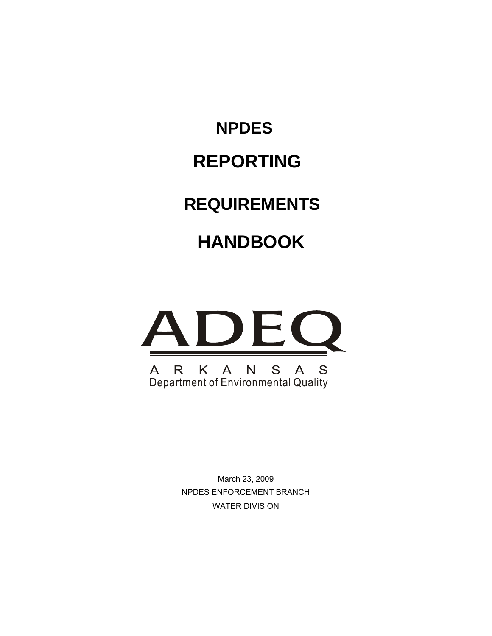**NPDES REPORTING REQUIREMENTS HANDBOOK** 



March 23, 2009 NPDES ENFORCEMENT BRANCH WATER DIVISION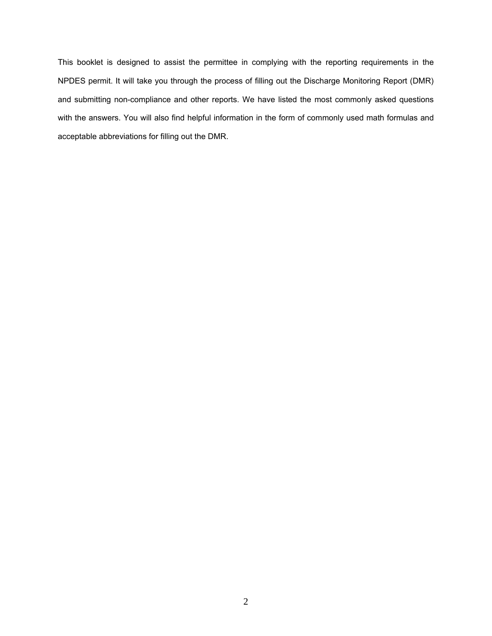This booklet is designed to assist the permittee in complying with the reporting requirements in the NPDES permit. It will take you through the process of filling out the Discharge Monitoring Report (DMR) and submitting non-compliance and other reports. We have listed the most commonly asked questions with the answers. You will also find helpful information in the form of commonly used math formulas and acceptable abbreviations for filling out the DMR.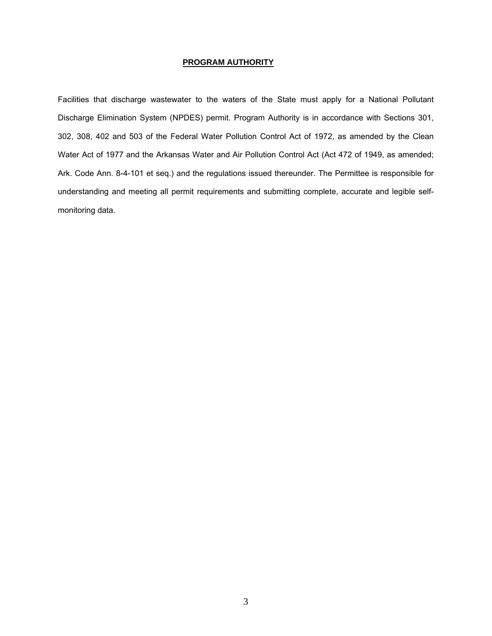#### **PROGRAM AUTHORITY**

Facilities that discharge wastewater to the waters of the State must apply for a National Pollutant Discharge Elimination System (NPDES) permit. Program Authority is in accordance with Sections 301, 302, 308, 402 and 503 of the Federal Water Pollution Control Act of 1972, as amended by the Clean Water Act of 1977 and the Arkansas Water and Air Pollution Control Act (Act 472 of 1949, as amended; Ark. Code Ann. 8-4-101 et seq.) and the regulations issued thereunder. The Permittee is responsible for understanding and meeting all permit requirements and submitting complete, accurate and legible selfmonitoring data.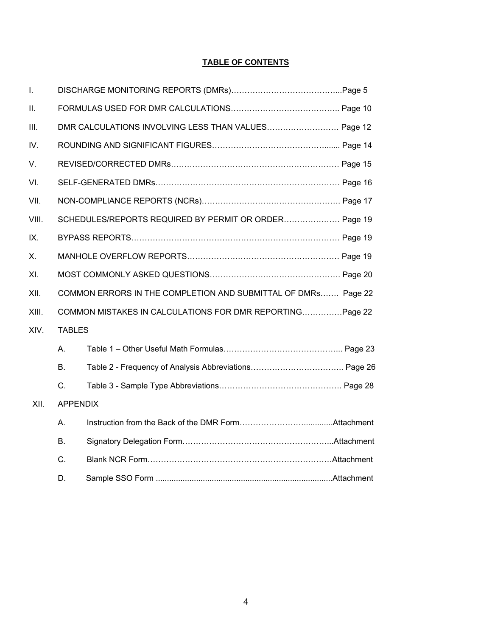## **TABLE OF CONTENTS**

| $\mathbf{I}$ . |                                                               |                                                       |  |  |  |  |  |
|----------------|---------------------------------------------------------------|-------------------------------------------------------|--|--|--|--|--|
| Ш.             |                                                               |                                                       |  |  |  |  |  |
| III.           |                                                               | DMR CALCULATIONS INVOLVING LESS THAN VALUES Page 12   |  |  |  |  |  |
| IV.            |                                                               |                                                       |  |  |  |  |  |
| V.             |                                                               |                                                       |  |  |  |  |  |
| VI.            |                                                               |                                                       |  |  |  |  |  |
| VII.           |                                                               |                                                       |  |  |  |  |  |
| VIII.          |                                                               | SCHEDULES/REPORTS REQUIRED BY PERMIT OR ORDER Page 19 |  |  |  |  |  |
| IX.            |                                                               |                                                       |  |  |  |  |  |
| Χ.             |                                                               |                                                       |  |  |  |  |  |
| XI.            |                                                               |                                                       |  |  |  |  |  |
| XII.           | COMMON ERRORS IN THE COMPLETION AND SUBMITTAL OF DMRs Page 22 |                                                       |  |  |  |  |  |
| XIII.          | COMMON MISTAKES IN CALCULATIONS FOR DMR REPORTING Page 22     |                                                       |  |  |  |  |  |
| XIV.           | <b>TABLES</b>                                                 |                                                       |  |  |  |  |  |
|                | А.                                                            |                                                       |  |  |  |  |  |
|                | В.                                                            |                                                       |  |  |  |  |  |
|                | C.                                                            |                                                       |  |  |  |  |  |
| XII.           | <b>APPENDIX</b>                                               |                                                       |  |  |  |  |  |
|                | А.                                                            |                                                       |  |  |  |  |  |
|                | В.                                                            |                                                       |  |  |  |  |  |
|                | C.                                                            |                                                       |  |  |  |  |  |
|                | D.                                                            |                                                       |  |  |  |  |  |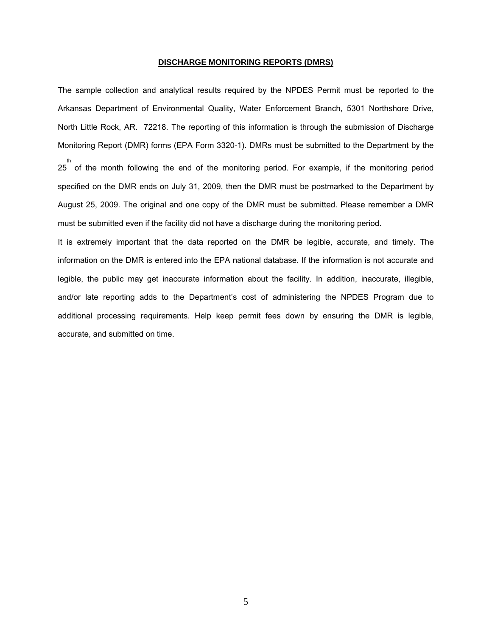#### **DISCHARGE MONITORING REPORTS (DMRS)**

The sample collection and analytical results required by the NPDES Permit must be reported to the Arkansas Department of Environmental Quality, Water Enforcement Branch, 5301 Northshore Drive, North Little Rock, AR. 72218. The reporting of this information is through the submission of Discharge Monitoring Report (DMR) forms (EPA Form 3320-1). DMRs must be submitted to the Department by the th the month following the end of the monitoring period. For example, if the monitoring period specified on the DMR ends on July 31, 2009, then the DMR must be postmarked to the Department by August 25, 2009. The original and one copy of the DMR must be submitted. Please remember a DMR must be submitted even if the facility did not have a discharge during the monitoring period.

It is extremely important that the data reported on the DMR be legible, accurate, and timely. The information on the DMR is entered into the EPA national database. If the information is not accurate and legible, the public may get inaccurate information about the facility. In addition, inaccurate, illegible, and/or late reporting adds to the Department's cost of administering the NPDES Program due to additional processing requirements. Help keep permit fees down by ensuring the DMR is legible, accurate, and submitted on time.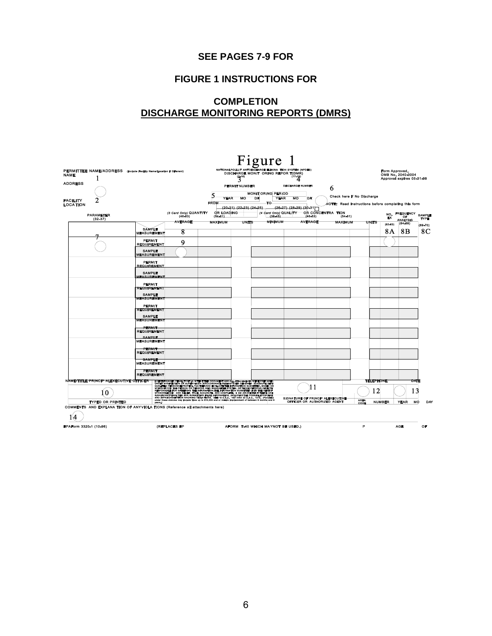## **SEE PAGES 7-9 FOR**

## **FIGURE 1 INSTRUCTIONS FOR**

## **COMPLETION DISCHARGE MONITORING REPORTS (DMRS)**

|                                    |                                        |                                                                              |                                                                                                                                                                                                                                                                                                                                   |                |                         | Figure                             |                                                                       |                                                                        |                                                            |                |                                                |                              |
|------------------------------------|----------------------------------------|------------------------------------------------------------------------------|-----------------------------------------------------------------------------------------------------------------------------------------------------------------------------------------------------------------------------------------------------------------------------------------------------------------------------------|----------------|-------------------------|------------------------------------|-----------------------------------------------------------------------|------------------------------------------------------------------------|------------------------------------------------------------|----------------|------------------------------------------------|------------------------------|
| <b>NAME</b>                        | 1                                      | PERMITTEE NAME/ADDRESS (Include Facility Name/Location if Different)         |                                                                                                                                                                                                                                                                                                                                   |                | $3^{10}$                | DISCHARGE MONIT ORING REPOR T(DMR) | NATIONAL POLLUT ANT DISCHARGE ELIMINA TION SYSTEM (NPDES)<br>$(17-1)$ |                                                                        |                                                            | Form Approved. | OMB No. 2040-0004<br>Approval expires 05-31-98 |                              |
| <b>ADDRESS</b>                     |                                        |                                                                              |                                                                                                                                                                                                                                                                                                                                   |                | <b>PERMIT NUMBER</b>    |                                    | <b>DISCHARGE NUMBER</b>                                               | 6                                                                      |                                                            |                |                                                |                              |
|                                    |                                        |                                                                              |                                                                                                                                                                                                                                                                                                                                   |                | <b>YEAR</b><br>wo       | <b>MONIT ORING PERIOD</b><br>אסד   | <b>YEAR</b><br>MO<br>DX                                               |                                                                        | Check here if No Discharge                                 |                |                                                |                              |
| <b>FACILITY</b><br><b>LOCATION</b> |                                        |                                                                              |                                                                                                                                                                                                                                                                                                                                   | <b>FROM</b>    | (20-21) (22-23) (24-25) | IΟ                                 | $(26-27)$ $(28-29)$ $(30-31)$                                         |                                                                        | <b>NOTE: Read instructions before completing this form</b> |                |                                                |                              |
|                                    | <b>PARAMETER</b><br>(32.37)            |                                                                              | (3 Cerd Only) QUANTITY<br>$(46-53)$                                                                                                                                                                                                                                                                                               | (84-61)        | OR LOADING              | (4 Card Only) QUALITY<br>(38.46)   | (46-53)                                                               | OR CONCENTRA TION<br>$(54 - 61)$                                       |                                                            | NO.<br>EX      | <b>FREQUENCY</b><br>OF                         | <b>SAMPLE</b><br><b>TYPE</b> |
|                                    |                                        |                                                                              | <b>AVERAGE</b>                                                                                                                                                                                                                                                                                                                    | <b>MAXIMUM</b> | UNITS                   | <b>MINIMUM</b>                     | AVERAGE                                                               | <b>MAXIMUM</b>                                                         | UNITS                                                      | $(62 - 63)$    | <b>ANALYSIS</b><br>$(64 - 68)$                 | (69-70)                      |
|                                    |                                        | <b>SAMELE</b><br><b>MEASUREMENT</b>                                          | 8                                                                                                                                                                                                                                                                                                                                 |                |                         |                                    |                                                                       |                                                                        |                                                            | 8A             | 8Β                                             | 8C                           |
|                                    |                                        | <b>PERMIT</b><br><b>REQUIREMENT</b>                                          | 9                                                                                                                                                                                                                                                                                                                                 |                |                         |                                    |                                                                       |                                                                        |                                                            |                |                                                |                              |
|                                    |                                        | <b>SAMPLE</b><br><b>MEASUREMENT</b>                                          |                                                                                                                                                                                                                                                                                                                                   |                |                         |                                    |                                                                       |                                                                        |                                                            |                |                                                |                              |
|                                    |                                        | <b>PERMIT</b><br><b>REQUIREMENT</b>                                          |                                                                                                                                                                                                                                                                                                                                   |                |                         |                                    |                                                                       |                                                                        |                                                            |                |                                                |                              |
|                                    |                                        | <b>SAMPLE</b><br><b>MEASUREMENT</b>                                          |                                                                                                                                                                                                                                                                                                                                   |                |                         |                                    |                                                                       |                                                                        |                                                            |                |                                                |                              |
|                                    |                                        | <b>PERMIT</b><br><b>REQUIREMENT</b>                                          |                                                                                                                                                                                                                                                                                                                                   |                |                         |                                    |                                                                       |                                                                        |                                                            |                |                                                |                              |
|                                    |                                        | <b>SAMPLE</b><br><b>MEASUREMENT</b>                                          |                                                                                                                                                                                                                                                                                                                                   |                |                         |                                    |                                                                       |                                                                        |                                                            |                |                                                |                              |
|                                    |                                        | <b>PERMIT</b>                                                                |                                                                                                                                                                                                                                                                                                                                   |                |                         |                                    |                                                                       |                                                                        |                                                            |                |                                                |                              |
|                                    |                                        | <b>REQUIREMENT</b>                                                           |                                                                                                                                                                                                                                                                                                                                   |                |                         |                                    |                                                                       |                                                                        |                                                            |                |                                                |                              |
|                                    |                                        | <b>SAMPLE</b><br><b>MEASUREMENT</b>                                          |                                                                                                                                                                                                                                                                                                                                   |                |                         |                                    |                                                                       |                                                                        |                                                            |                |                                                |                              |
|                                    |                                        | <b>PERMIT</b>                                                                |                                                                                                                                                                                                                                                                                                                                   |                |                         |                                    |                                                                       |                                                                        |                                                            |                |                                                |                              |
|                                    |                                        | <b>REQUIREMENT</b><br><b>SAMPLE</b>                                          |                                                                                                                                                                                                                                                                                                                                   |                |                         |                                    |                                                                       |                                                                        |                                                            |                |                                                |                              |
|                                    |                                        | <b>MEASUREMENT</b>                                                           |                                                                                                                                                                                                                                                                                                                                   |                |                         |                                    |                                                                       |                                                                        |                                                            |                |                                                |                              |
|                                    |                                        | <b>PERMIT</b><br><b>REQUIREMENT</b>                                          |                                                                                                                                                                                                                                                                                                                                   |                |                         |                                    |                                                                       |                                                                        |                                                            |                |                                                |                              |
|                                    |                                        | <b>SAMPLE</b>                                                                |                                                                                                                                                                                                                                                                                                                                   |                |                         |                                    |                                                                       |                                                                        |                                                            |                |                                                |                              |
|                                    |                                        | <b>MEASUREMENT</b>                                                           |                                                                                                                                                                                                                                                                                                                                   |                |                         |                                    |                                                                       |                                                                        |                                                            |                |                                                |                              |
|                                    |                                        | <b>PERMIT</b><br><b>REQUIREMENT</b>                                          |                                                                                                                                                                                                                                                                                                                                   |                |                         |                                    |                                                                       |                                                                        |                                                            |                |                                                |                              |
|                                    | NAME/TITLE PRINCIP ALEXECUTIVE OFFICER |                                                                              |                                                                                                                                                                                                                                                                                                                                   |                |                         |                                    |                                                                       |                                                                        | <b>TELEPHONE</b>                                           |                | ᇞ                                              |                              |
|                                    | 0                                      |                                                                              | I CRRYTICHNORE PENAL TYCE LA NYTHAT THIS DOCUMENT AND ALL ATTACHMENTS WERE PREPARED.<br>UNDER WORKEOTON OR BUFERVINGN PARCORDANCE WITHARTER DESIGNED TO ABOUR THAT<br>GUALIFIED PERSON OR EUFRAVINGN PROGRAMMO D'ANIJATER EVETEN, OR<br>SIGNIFICANTPENAL TIES FOR SUBMITTING FALSE INFORMATION, INCLUDING THE POSSIBILITY OF PINE |                |                         |                                    | -1                                                                    |                                                                        | 12                                                         |                |                                                |                              |
|                                    | <b>TYPED OR PRINTED</b>                | veem.)                                                                       | under these statutes may include fines up to \$10,000 and or ma                                                                                                                                                                                                                                                                   |                |                         |                                    |                                                                       | <b>SIGNATURE OF PRINCIP ALEXECUTIVE</b><br>OFFICER OR AUTHORIZED AGENT | <b>AREA</b><br>CODE                                        | <b>NUMBER</b>  | MO<br>YEAR                                     | DAY                          |
|                                    |                                        | COMMENTS AND EXPLANA TION OF ANYVIOLA TIONS (Reference all attachments here) |                                                                                                                                                                                                                                                                                                                                   |                |                         |                                    |                                                                       |                                                                        |                                                            |                |                                                |                              |
|                                    |                                        |                                                                              |                                                                                                                                                                                                                                                                                                                                   |                |                         |                                    |                                                                       |                                                                        |                                                            |                |                                                |                              |
| EPAForm 3320-1 (10-96)             |                                        |                                                                              | (REPLACES EP                                                                                                                                                                                                                                                                                                                      |                |                         | AFORM T-40 WHICH MAYNOT BE USED.)  |                                                                       |                                                                        | P                                                          |                | <b>AGE</b>                                     | OF                           |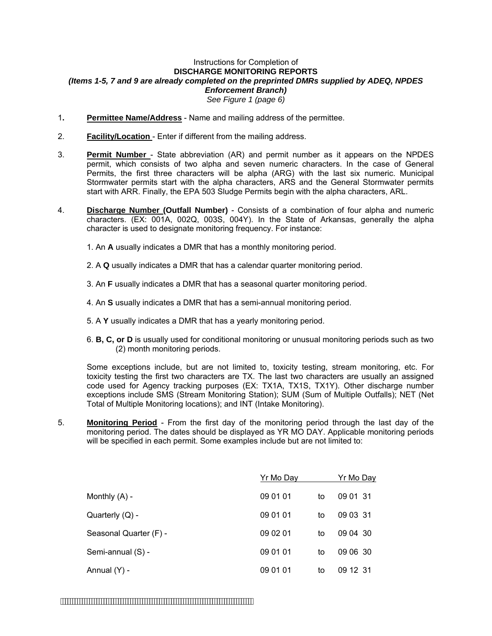#### Instructions for Completion of **DISCHARGE MONITORING REPORTS**  *(Items 1-5, 7 and 9 are already completed on the preprinted DMRs supplied by ADEQ, NPDES Enforcement Branch) See Figure 1 (page 6)*

- 1**. Permittee Name/Address** Name and mailing address of the permittee.
- 2. **Facility/Location** Enter if different from the mailing address.
- 3. **Permit Number** State abbreviation (AR) and permit number as it appears on the NPDES permit, which consists of two alpha and seven numeric characters. In the case of General Permits, the first three characters will be alpha (ARG) with the last six numeric. Municipal Stormwater permits start with the alpha characters, ARS and the General Stormwater permits start with ARR. Finally, the EPA 503 Sludge Permits begin with the alpha characters, ARL.
- 4. **Discharge Number (Outfall Number)** Consists of a combination of four alpha and numeric characters. (EX: 001A, 002Q, 003S, 004Y). In the State of Arkansas, generally the alpha character is used to designate monitoring frequency. For instance:
	- 1. An **A** usually indicates a DMR that has a monthly monitoring period.
	- 2. A **Q** usually indicates a DMR that has a calendar quarter monitoring period.
	- 3. An **F** usually indicates a DMR that has a seasonal quarter monitoring period.
	- 4. An **S** usually indicates a DMR that has a semi-annual monitoring period.
	- 5. A **Y** usually indicates a DMR that has a yearly monitoring period.
	- 6. **B, C, or D** is usually used for conditional monitoring or unusual monitoring periods such as two (2) month monitoring periods.

Some exceptions include, but are not limited to, toxicity testing, stream monitoring, etc. For toxicity testing the first two characters are TX. The last two characters are usually an assigned code used for Agency tracking purposes (EX: TX1A, TX1S, TX1Y). Other discharge number exceptions include SMS (Stream Monitoring Station); SUM (Sum of Multiple Outfalls); NET (Net Total of Multiple Monitoring locations); and INT (Intake Monitoring).

5. **Monitoring Period** - From the first day of the monitoring period through the last day of the monitoring period. The dates should be displayed as YR MO DAY. Applicable monitoring periods will be specified in each permit. Some examples include but are not limited to:

|                        | Yr Mo Day |    | <u>Yr Mo Day</u> |
|------------------------|-----------|----|------------------|
| Monthly $(A)$ -        | 09 01 01  | to | 09 01 31         |
| Quarterly (Q) -        | 09 01 01  | to | 09 03 31         |
| Seasonal Quarter (F) - | 09 02 01  | to | 09 04 30         |
| Semi-annual (S) -      | 09 01 01  | to | 09 06 30         |
| Annual (Y) -           | 09 01 01  | to | 09 12 31         |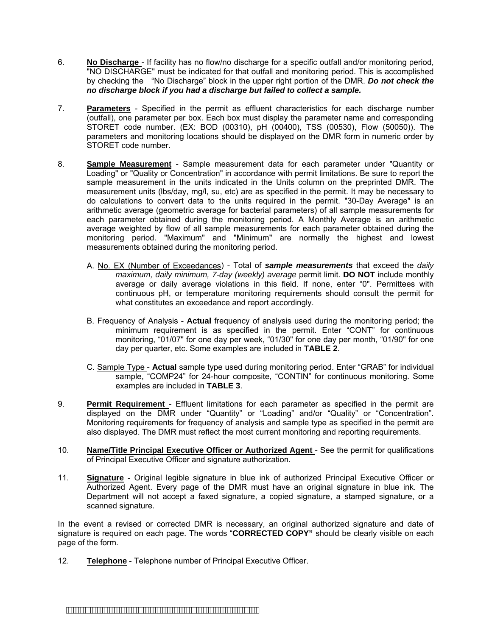- 6. **No Discharge** If facility has no flow/no discharge for a specific outfall and/or monitoring period, "NO DISCHARGE" must be indicated for that outfall and monitoring period. This is accomplished by checking the "No Discharge" block in the upper right portion of the DMR. *Do not check the no discharge block if you had a discharge but failed to collect a sample.*
- 7. **Parameters** Specified in the permit as effluent characteristics for each discharge number (outfall), one parameter per box. Each box must display the parameter name and corresponding STORET code number. (EX: BOD (00310), pH (00400), TSS (00530), Flow (50050)). The parameters and monitoring locations should be displayed on the DMR form in numeric order by STORET code number.
- 8. **Sample Measurement** Sample measurement data for each parameter under "Quantity or Loading" or "Quality or Concentration" in accordance with permit limitations. Be sure to report the sample measurement in the units indicated in the Units column on the preprinted DMR. The measurement units (lbs/day, mg/l, su, etc) are as specified in the permit. It may be necessary to do calculations to convert data to the units required in the permit. "30-Day Average" is an arithmetic average (geometric average for bacterial parameters) of all sample measurements for each parameter obtained during the monitoring period. A Monthly Average is an arithmetic average weighted by flow of all sample measurements for each parameter obtained during the monitoring period. "Maximum" and "Minimum" are normally the highest and lowest measurements obtained during the monitoring period.
	- A. No. EX (Number of Exceedances) Total of *sample measurements* that exceed the *daily maximum, daily minimum, 7-day (weekly) average permit limit. DO NOT include monthly* average or daily average violations in this field. If none, enter "0". Permittees with continuous pH, or temperature monitoring requirements should consult the permit for what constitutes an exceedance and report accordingly.
	- B. Frequency of Analysis **Actual** frequency of analysis used during the monitoring period; the minimum requirement is as specified in the permit. Enter "CONT" for continuous monitoring, "01/07" for one day per week, "01/30" for one day per month, "01/90" for one day per quarter, etc. Some examples are included in **TABLE 2**.
	- C. Sample Type **Actual** sample type used during monitoring period. Enter "GRAB" for individual sample, "COMP24" for 24-hour composite, "CONTIN" for continuous monitoring. Some examples are included in **TABLE 3**.
- 9. **Permit Requirement** Effluent limitations for each parameter as specified in the permit are displayed on the DMR under "Quantity" or "Loading" and/or "Quality" or "Concentration". Monitoring requirements for frequency of analysis and sample type as specified in the permit are also displayed. The DMR must reflect the most current monitoring and reporting requirements.
- 10. **Name/Title Principal Executive Officer or Authorized Agent** See the permit for qualifications of Principal Executive Officer and signature authorization.
- 11. **Signature** Original legible signature in blue ink of authorized Principal Executive Officer or Authorized Agent. Every page of the DMR must have an original signature in blue ink. The Department will not accept a faxed signature, a copied signature, a stamped signature, or a scanned signature.

In the event a revised or corrected DMR is necessary, an original authorized signature and date of signature is required on each page. The words "**CORRECTED COPY"** should be clearly visible on each page of the form.

12. **Telephone** - Telephone number of Principal Executive Officer.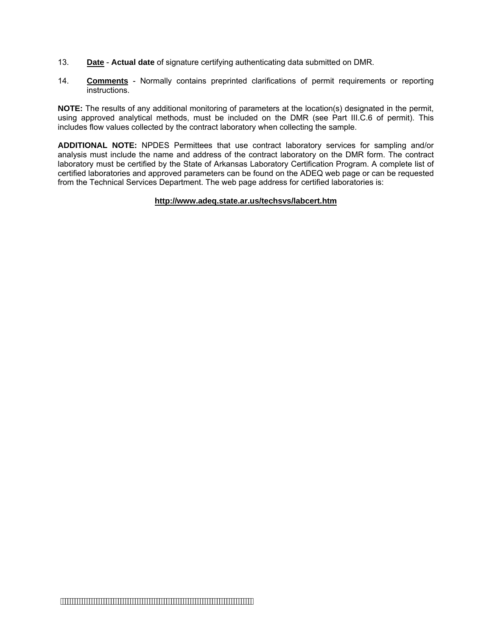- 13. **Date Actual date** of signature certifying authenticating data submitted on DMR.
- 14. **Comments** Normally contains preprinted clarifications of permit requirements or reporting **instructions**

**NOTE:** The results of any additional monitoring of parameters at the location(s) designated in the permit, using approved analytical methods, must be included on the DMR (see Part III.C.6 of permit). This includes flow values collected by the contract laboratory when collecting the sample.

**ADDITIONAL NOTE:** NPDES Permittees that use contract laboratory services for sampling and/or analysis must include the name and address of the contract laboratory on the DMR form. The contract laboratory must be certified by the State of Arkansas Laboratory Certification Program. A complete list of certified laboratories and approved parameters can be found on the ADEQ web page or can be requested from the Technical Services Department. The web page address for certified laboratories is:

#### **http://www.adeq.state.ar.us/techsvs/labcert.htm**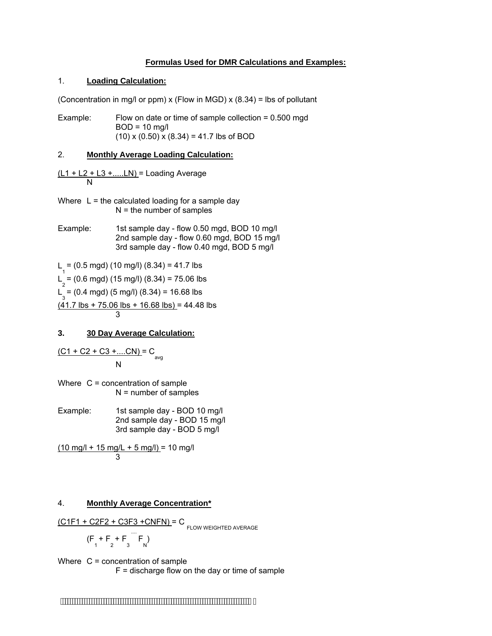#### **Formulas Used for DMR Calculations and Examples:**

#### 1. **Loading Calculation:**

(Concentration in mg/l or ppm)  $x$  (Flow in MGD)  $x$  (8.34) = lbs of pollutant

Example: Flow on date or time of sample collection = 0.500 mgd  $BOD = 10$  mg/l  $(10)$  x  $(0.50)$  x  $(8.34)$  = 41.7 lbs of BOD

#### 2. **Monthly Average Loading Calculation:**

 $(L1 + L2 + L3 + \dots LN) =$  Loading Average N

Where  $L =$  the calculated loading for a sample day  $N =$  the number of samples

Example: 1st sample day - flow 0.50 mgd, BOD 10 mg/l 2nd sample day - flow 0.60 mgd, BOD 15 mg/l 3rd sample day - flow 0.40 mgd, BOD 5 mg/l

L =  $(0.5 \text{ mgd})$   $(10 \text{ mg/l})$   $(8.34)$  = 41.7 lbs

 $L_2^1$  = (0.6 mgd) (15 mg/l) (8.34) = 75.06 lbs

 $L_{3} = (0.4 \text{ mgd}) (5 \text{ mg/l}) (8.34) = 16.68 \text{ lbs}$ 

 $(41.7 \text{ lbs} + 75.06 \text{ lbs} + 16.68 \text{ lbs}) = 44.48 \text{ lbs}$ 3

#### **3. 30 Day Average Calculation:**

$$
\frac{(C1 + C2 + C3 + \dots CN)}{N} = C_{avg}
$$

Where C = concentration of sample N = number of samples

Example: 1st sample day - BOD 10 mg/l 2nd sample day - BOD 15 mg/l 3rd sample day - BOD 5 mg/l

 $(10 \text{ mg/l} + 15 \text{ mg/l} + 5 \text{ mg/l}) = 10 \text{ mg/l}$ 3

#### 4. **Monthly Average Concentration\***

$$
\frac{(C1F1 + C2F2 + C3F3 + CNFN)}{C}
$$

$$
L^{\text{-}} \circ
$$
 **FLOW WEIGHTED AVERAGE**

$$
(F_1 + F_2 + F_3
$$
  $\cdots$   $F_N$ )

Where C = concentration of sample  $F =$  discharge flow on the day or time of sample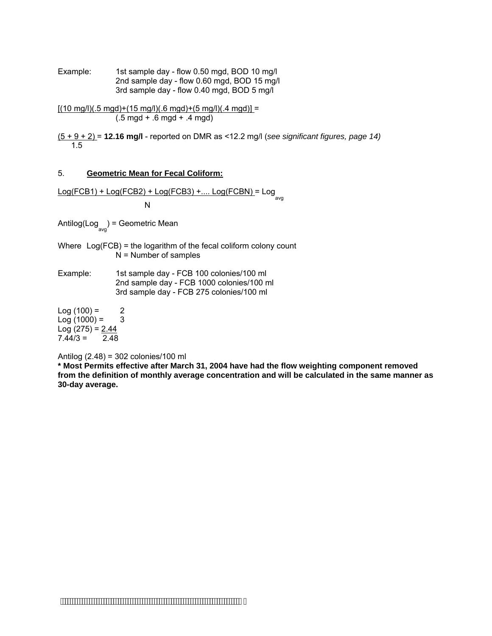Example: 1st sample day - flow 0.50 mgd, BOD 10 mg/l 2nd sample day - flow 0.60 mgd, BOD 15 mg/l 3rd sample day - flow 0.40 mgd, BOD 5 mg/l

 $[(10 \text{ mg/}]/(0.5 \text{ mg}) + (15 \text{ mg/}))/(0.6 \text{ mg}) + (5 \text{ mg/}))/(0.4 \text{ mg})] =$ (.5 mgd + .6 mgd + .4 mgd)

(5 + 9 + 2) = **12.16 mg/l** - reported on DMR as <12.2 mg/l (*see significant figures, page 14)*  1.5

#### 5. **Geometric Mean for Fecal Coliform:**

Log(FCB1) + Log(FCB2) + Log(FCB3) +.... Log(FCBN) = Log avg

**No. 1996 No. 1996** 

Antilog(Log<sub>avg</sub>) = Geometric Mean

- Where Log(FCB) = the logarithm of the fecal coliform colony count N = Number of samples
- Example: 1st sample day FCB 100 colonies/100 ml 2nd sample day - FCB 1000 colonies/100 ml 3rd sample day - FCB 275 colonies/100 ml

 $Log(100) = 2$  $Log(1000) = 3$ Log  $(275) = 2.44$  $7.44/3 = 2.48$ 

Antilog (2.48) = 302 colonies/100 ml

**\* Most Permits effective after March 31, 2004 have had the flow weighting component removed from the definition of monthly average concentration and will be calculated in the same manner as 30-day average.** 

 $\mathcal{L}$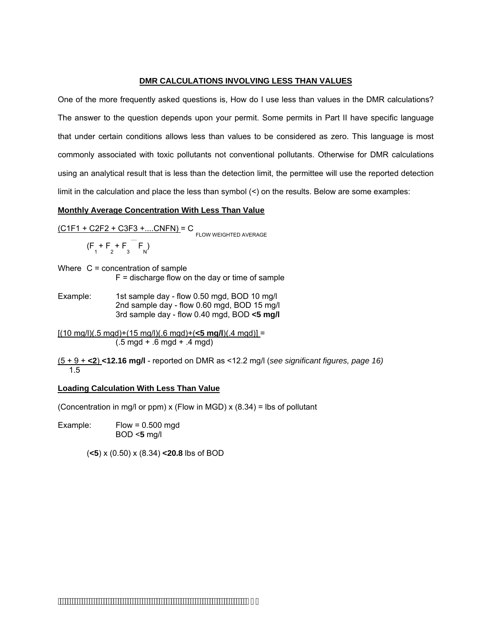#### **DMR CALCULATIONS INVOLVING LESS THAN VALUES**

One of the more frequently asked questions is, How do I use less than values in the DMR calculations? The answer to the question depends upon your permit. Some permits in Part II have specific language that under certain conditions allows less than values to be considered as zero. This language is most commonly associated with toxic pollutants not conventional pollutants. Otherwise for DMR calculations using an analytical result that is less than the detection limit, the permittee will use the reported detection limit in the calculation and place the less than symbol  $($   $)$  on the results. Below are some examples:

#### **Monthly Average Concentration With Less Than Value**

$$
\frac{(C1F1 + C2F2 + C3F3 + \dots CNFN)}{(F_1 + F_2 + F_3 \cap F_N)} = C_{\text{FLOW WEIGHTED AVERAGE}}
$$

- Where  $C =$  concentration of sample  $F =$  discharge flow on the day or time of sample
- Example: 1st sample day flow 0.50 mgd, BOD 10 mg/l 2nd sample day - flow 0.60 mgd, BOD 15 mg/l 3rd sample day - flow 0.40 mgd, BOD **<5 mg/l**

[(10 mg/l)(.5 mgd)+(15 mg/l)(.6 mgd)+(**<5 mg/l**)(.4 mgd)] = (.5 mgd + .6 mgd + .4 mgd)

(5 + 9 + **<2**) **<12.16 mg/l** - reported on DMR as <12.2 mg/l (*see significant figures, page 16)*  1.5

#### **Loading Calculation With Less Than Value**

(Concentration in mg/l or ppm) x (Flow in MGD) x  $(8.34)$  = lbs of pollutant

Example: Flow = 0.500 mgd BOD <**5** mg/l

(**<5**) x (0.50) x (8.34) **<20.8** lbs of BOD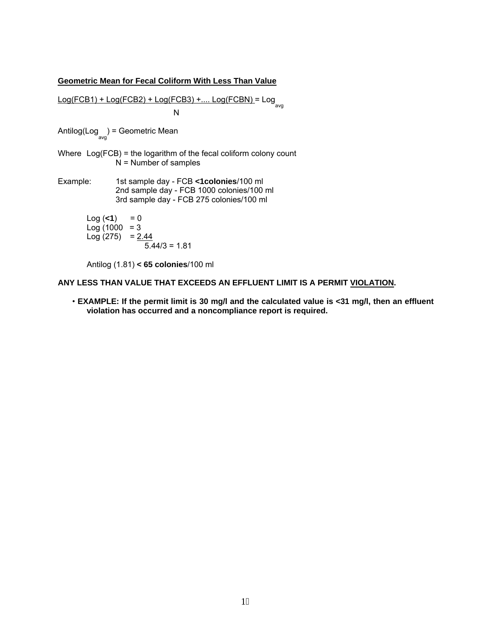#### **Geometric Mean for Fecal Coliform With Less Than Value**

Log(FCB1) + Log(FCB2) + Log(FCB3) +.... Log(FCBN) = Log avg N

Antilog(Log<sub>avg</sub>) = Geometric Mean

- Where Log(FCB) = the logarithm of the fecal coliform colony count  $N =$  Number of samples
- Example: 1st sample day FCB **<1colonies**/100 ml 2nd sample day - FCB 1000 colonies/100 ml 3rd sample day - FCB 275 colonies/100 ml

 $Log(**1**) = 0$  $Log(1000 = 3)$ Log  $(275) = 2.44$  $5.44/3 = 1.81$ 

Antilog (1.81) **< 65 colonies**/100 ml

#### **ANY LESS THAN VALUE THAT EXCEEDS AN EFFLUENT LIMIT IS A PERMIT VIOLATION.**

• **EXAMPLE: If the permit limit is 30 mg/l and the calculated value is <31 mg/l, then an effluent violation has occurred and a noncompliance report is required.**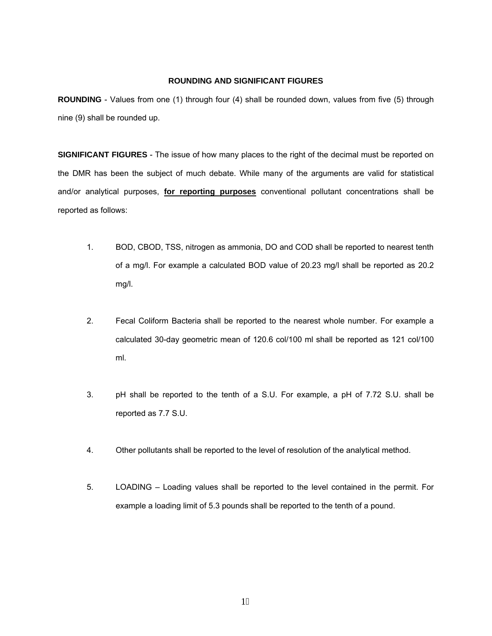#### **ROUNDING AND SIGNIFICANT FIGURES**

**ROUNDING** - Values from one (1) through four (4) shall be rounded down, values from five (5) through nine (9) shall be rounded up.

**SIGNIFICANT FIGURES** - The issue of how many places to the right of the decimal must be reported on the DMR has been the subject of much debate. While many of the arguments are valid for statistical and/or analytical purposes, **for reporting purposes** conventional pollutant concentrations shall be reported as follows:

- 1. BOD, CBOD, TSS, nitrogen as ammonia, DO and COD shall be reported to nearest tenth of a mg/l. For example a calculated BOD value of 20.23 mg/l shall be reported as 20.2 mg/l.
- 2. Fecal Coliform Bacteria shall be reported to the nearest whole number. For example a calculated 30-day geometric mean of 120.6 col/100 ml shall be reported as 121 col/100 ml.
- 3. pH shall be reported to the tenth of a S.U. For example, a pH of 7.72 S.U. shall be reported as 7.7 S.U.
- 4. Other pollutants shall be reported to the level of resolution of the analytical method.
- 5. LOADING Loading values shall be reported to the level contained in the permit. For example a loading limit of 5.3 pounds shall be reported to the tenth of a pound.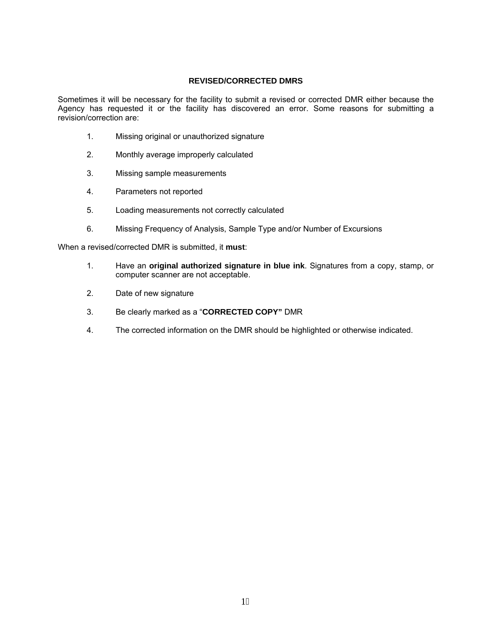#### **REVISED/CORRECTED DMRS**

Sometimes it will be necessary for the facility to submit a revised or corrected DMR either because the Agency has requested it or the facility has discovered an error. Some reasons for submitting a revision/correction are:

- 1. Missing original or unauthorized signature
- 2. Monthly average improperly calculated
- 3. Missing sample measurements
- 4. Parameters not reported
- 5. Loading measurements not correctly calculated
- 6. Missing Frequency of Analysis, Sample Type and/or Number of Excursions

When a revised/corrected DMR is submitted, it **must**:

- 1. Have an **original authorized signature in blue ink**. Signatures from a copy, stamp, or computer scanner are not acceptable.
- 2. Date of new signature
- 3. Be clearly marked as a "**CORRECTED COPY"** DMR
- 4. The corrected information on the DMR should be highlighted or otherwise indicated.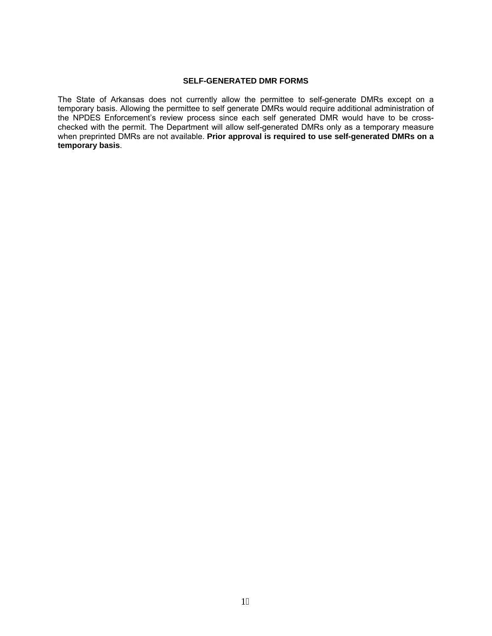#### **SELF-GENERATED DMR FORMS**

The State of Arkansas does not currently allow the permittee to self-generate DMRs except on a temporary basis. Allowing the permittee to self generate DMRs would require additional administration of the NPDES Enforcement's review process since each self generated DMR would have to be crosschecked with the permit. The Department will allow self-generated DMRs only as a temporary measure when preprinted DMRs are not available. **Prior approval is required to use self-generated DMRs on a temporary basis**.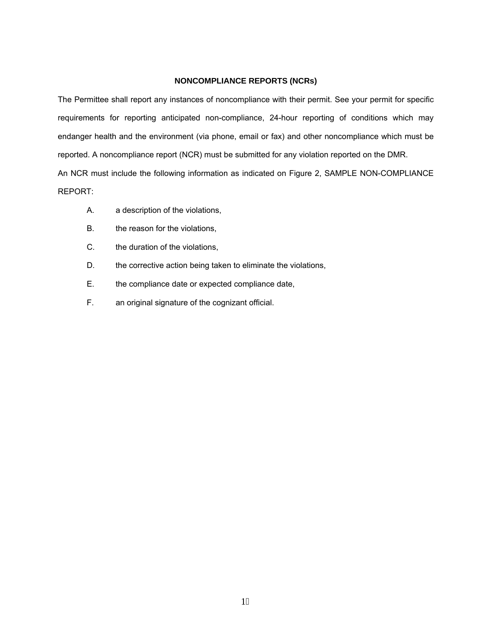#### **NONCOMPLIANCE REPORTS (NCRs)**

The Permittee shall report any instances of noncompliance with their permit. See your permit for specific requirements for reporting anticipated non-compliance, 24-hour reporting of conditions which may endanger health and the environment (via phone, email or fax) and other noncompliance which must be reported. A noncompliance report (NCR) must be submitted for any violation reported on the DMR. An NCR must include the following information as indicated on Figure 2, SAMPLE NON-COMPLIANCE REPORT:

- A. a description of the violations,
- B. the reason for the violations,
- C. the duration of the violations,
- D. the corrective action being taken to eliminate the violations,
- E. the compliance date or expected compliance date,
- F. an original signature of the cognizant official.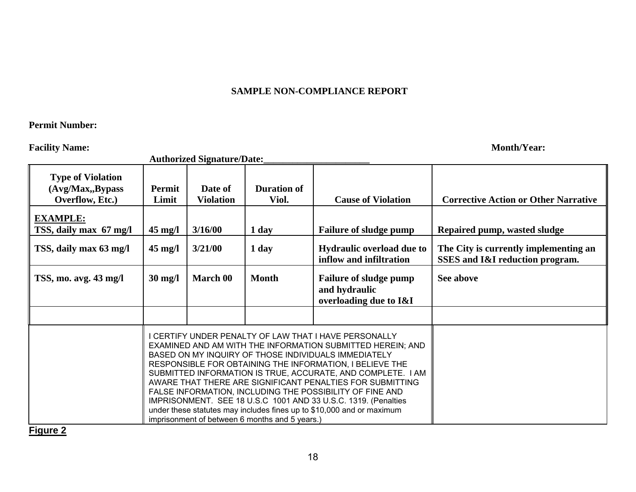## **SAMPLE NON-COMPLIANCE REPORT**

#### **Permit Number:**

**Facility Name: Month/Year: Month** 

|                                                                  | <b>Authorized Signature/Date:_</b> |                             |                                                                                                                                                                                                                                                                                                                                                                                                                                                                                                                                                                                                                              |                                                                          |                                                                          |  |  |
|------------------------------------------------------------------|------------------------------------|-----------------------------|------------------------------------------------------------------------------------------------------------------------------------------------------------------------------------------------------------------------------------------------------------------------------------------------------------------------------------------------------------------------------------------------------------------------------------------------------------------------------------------------------------------------------------------------------------------------------------------------------------------------------|--------------------------------------------------------------------------|--------------------------------------------------------------------------|--|--|
| <b>Type of Violation</b><br>(Avg/Max, Bypass)<br>Overflow, Etc.) | Permit<br>Limit                    | Date of<br><b>Violation</b> | <b>Duration of</b><br>Viol.                                                                                                                                                                                                                                                                                                                                                                                                                                                                                                                                                                                                  | <b>Cause of Violation</b>                                                | <b>Corrective Action or Other Narrative</b>                              |  |  |
| <b>EXAMPLE:</b><br>TSS, daily max 67 mg/l                        | $45 \text{ mg/l}$                  | 3/16/00                     | 1 day                                                                                                                                                                                                                                                                                                                                                                                                                                                                                                                                                                                                                        | <b>Failure of sludge pump</b>                                            | Repaired pump, wasted sludge                                             |  |  |
| TSS, daily max 63 mg/l                                           | $45 \text{ mg/l}$                  | 3/21/00                     | 1 day                                                                                                                                                                                                                                                                                                                                                                                                                                                                                                                                                                                                                        | <b>Hydraulic overload due to</b><br>inflow and infiltration              | The City is currently implementing an<br>SSES and I&I reduction program. |  |  |
| TSS, mo. avg. 43 mg/l                                            | $30 \text{ mg/l}$                  | March 00                    | <b>Month</b>                                                                                                                                                                                                                                                                                                                                                                                                                                                                                                                                                                                                                 | <b>Failure of sludge pump</b><br>and hydraulic<br>overloading due to I&I | See above                                                                |  |  |
|                                                                  |                                    |                             |                                                                                                                                                                                                                                                                                                                                                                                                                                                                                                                                                                                                                              |                                                                          |                                                                          |  |  |
|                                                                  |                                    |                             | I CERTIFY UNDER PENALTY OF LAW THAT I HAVE PERSONALLY<br>EXAMINED AND AM WITH THE INFORMATION SUBMITTED HEREIN; AND<br>BASED ON MY INQUIRY OF THOSE INDIVIDUALS IMMEDIATELY<br>RESPONSIBLE FOR OBTAINING THE INFORMATION, I BELIEVE THE<br>SUBMITTED INFORMATION IS TRUE, ACCURATE, AND COMPLETE. I AM<br>AWARE THAT THERE ARE SIGNIFICANT PENALTIES FOR SUBMITTING<br>FALSE INFORMATION, INCLUDING THE POSSIBILITY OF FINE AND<br>IMPRISONMENT. SEE 18 U.S.C 1001 AND 33 U.S.C. 1319. (Penalties<br>under these statutes may includes fines up to \$10,000 and or maximum<br>imprisonment of between 6 months and 5 years.) |                                                                          |                                                                          |  |  |

**Figure 2**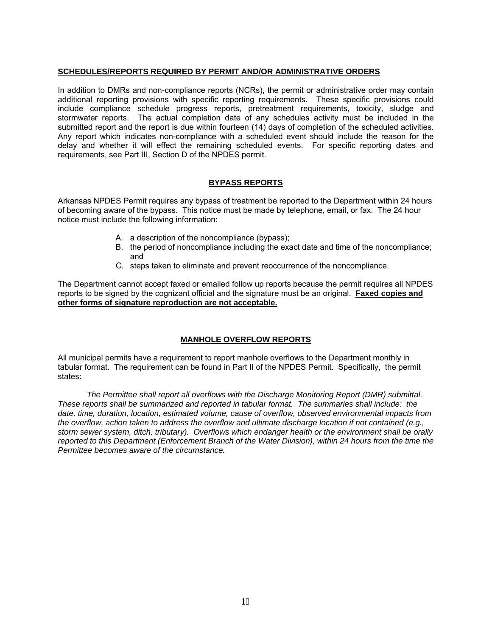#### **SCHEDULES/REPORTS REQUIRED BY PERMIT AND/OR ADMINISTRATIVE ORDERS**

In addition to DMRs and non-compliance reports (NCRs), the permit or administrative order may contain additional reporting provisions with specific reporting requirements. These specific provisions could include compliance schedule progress reports, pretreatment requirements, toxicity, sludge and stormwater reports. The actual completion date of any schedules activity must be included in the submitted report and the report is due within fourteen (14) days of completion of the scheduled activities. Any report which indicates non-compliance with a scheduled event should include the reason for the delay and whether it will effect the remaining scheduled events. For specific reporting dates and requirements, see Part III, Section D of the NPDES permit.

#### **BYPASS REPORTS**

Arkansas NPDES Permit requires any bypass of treatment be reported to the Department within 24 hours of becoming aware of the bypass. This notice must be made by telephone, email, or fax. The 24 hour notice must include the following information:

- A. a description of the noncompliance (bypass);
- B. the period of noncompliance including the exact date and time of the noncompliance; and
- C. steps taken to eliminate and prevent reoccurrence of the noncompliance.

The Department cannot accept faxed or emailed follow up reports because the permit requires all NPDES reports to be signed by the cognizant official and the signature must be an original. **Faxed copies and other forms of signature reproduction are not acceptable.**

#### **MANHOLE OVERFLOW REPORTS**

All municipal permits have a requirement to report manhole overflows to the Department monthly in tabular format. The requirement can be found in Part II of the NPDES Permit. Specifically, the permit states:

*The Permittee shall report all overflows with the Discharge Monitoring Report (DMR) submittal. These reports shall be summarized and reported in tabular format. The summaries shall include: the date, time, duration, location, estimated volume, cause of overflow, observed environmental impacts from the overflow, action taken to address the overflow and ultimate discharge location if not contained (e.g., storm sewer system, ditch, tributary). Overflows which endanger health or the environment shall be orally reported to this Department (Enforcement Branch of the Water Division), within 24 hours from the time the Permittee becomes aware of the circumstance.*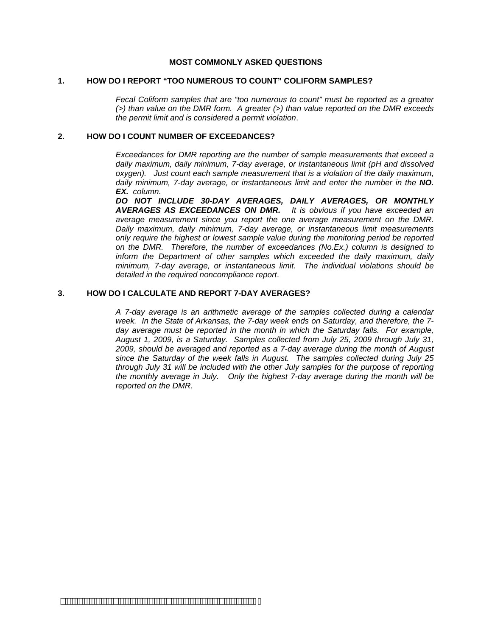#### **MOST COMMONLY ASKED QUESTIONS**

#### **1. HOW DO I REPORT "TOO NUMEROUS TO COUNT" COLIFORM SAMPLES?**

*Fecal Coliform samples that are "too numerous to count" must be reported as a greater (>) than value on the DMR form. A greater (>) than value reported on the DMR exceeds the permit limit and is considered a permit violation*.

#### **2. HOW DO I COUNT NUMBER OF EXCEEDANCES?**

*Exceedances for DMR reporting are the number of sample measurements that exceed a daily maximum, daily minimum, 7-day average, or instantaneous limit (pH and dissolved oxygen). Just count each sample measurement that is a violation of the daily maximum, daily minimum, 7-day average, or instantaneous limit and enter the number in the NO. EX. column.* 

*DO NOT INCLUDE 30-DAY AVERAGES, DAILY AVERAGES, OR MONTHLY AVERAGES AS EXCEEDANCES ON DMR. It is obvious if you have exceeded an average measurement since you report the one average measurement on the DMR. Daily maximum, daily minimum, 7-day average, or instantaneous limit measurements only require the highest or lowest sample value during the monitoring period be reported on the DMR. Therefore, the number of exceedances (No.Ex.) column is designed to inform the Department of other samples which exceeded the daily maximum, daily minimum, 7-day average, or instantaneous limit. The individual violations should be detailed in the required noncompliance report*.

#### **3. HOW DO I CALCULATE AND REPORT 7-DAY AVERAGES?**

*A 7-day average is an arithmetic average of the samples collected during a calendar week. In the State of Arkansas, the 7-day week ends on Saturday, and therefore, the 7 day average must be reported in the month in which the Saturday falls. For example, August 1, 2009, is a Saturday. Samples collected from July 25, 2009 through July 31, 2009, should be averaged and reported as a 7-day average during the month of August since the Saturday of the week falls in August. The samples collected during July 25 through July 31 will be included with the other July samples for the purpose of reporting the monthly average in July. Only the highest 7-day average during the month will be reported on the DMR.*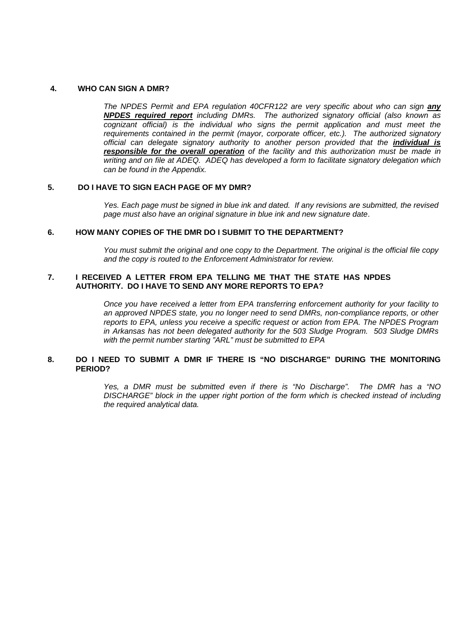#### **4. WHO CAN SIGN A DMR?**

*The NPDES Permit and EPA regulation 40CFR122 are very specific about who can sign any NPDES required report including DMRs. The authorized signatory official (also known as cognizant official) is the individual who signs the permit application and must meet the requirements contained in the permit (mayor, corporate officer, etc.). The authorized signatory official can delegate signatory authority to another person provided that the individual is responsible for the overall operation of the facility and this authorization must be made in writing and on file at ADEQ. ADEQ has developed a form to facilitate signatory delegation which can be found in the Appendix.* 

#### **5. DO I HAVE TO SIGN EACH PAGE OF MY DMR?**

*Yes. Each page must be signed in blue ink and dated. If any revisions are submitted, the revised page must also have an original signature in blue ink and new signature date*.

#### **6. HOW MANY COPIES OF THE DMR DO I SUBMIT TO THE DEPARTMENT?**

*You must submit the original and one copy to the Department. The original is the official file copy and the copy is routed to the Enforcement Administrator for review.* 

#### **7. I RECEIVED A LETTER FROM EPA TELLING ME THAT THE STATE HAS NPDES AUTHORITY. DO I HAVE TO SEND ANY MORE REPORTS TO EPA?**

*Once you have received a letter from EPA transferring enforcement authority for your facility to an approved NPDES state, you no longer need to send DMRs, non-compliance reports, or other reports to EPA, unless you receive a specific request or action from EPA. The NPDES Program in Arkansas has not been delegated authority for the 503 Sludge Program. 503 Sludge DMRs with the permit number starting "ARL" must be submitted to EPA* 

#### **8. DO I NEED TO SUBMIT A DMR IF THERE IS "NO DISCHARGE" DURING THE MONITORING PERIOD?**

*Yes, a DMR must be submitted even if there is "No Discharge". The DMR has a "NO DISCHARGE" block in the upper right portion of the form which is checked instead of including the required analytical data.*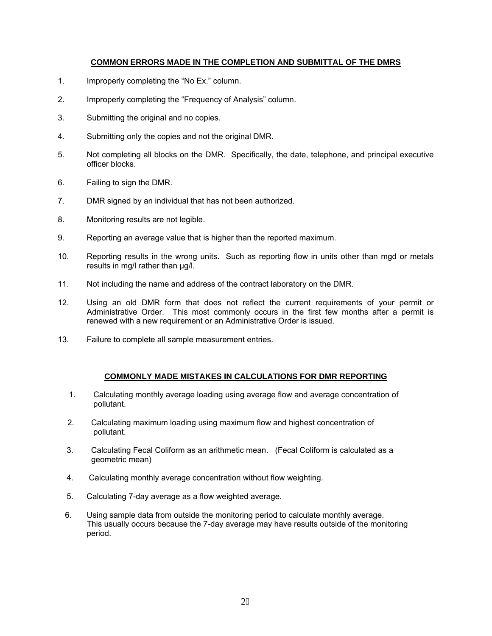#### **COMMON ERRORS MADE IN THE COMPLETION AND SUBMITTAL OF THE DMRS**

- 1. Improperly completing the "No Ex." column.
- 2. Improperly completing the "Frequency of Analysis" column.
- 3. Submitting the original and no copies.
- 4. Submitting only the copies and not the original DMR.
- 5. Not completing all blocks on the DMR. Specifically, the date, telephone, and principal executive officer blocks.
- 6. Failing to sign the DMR.
- 7. DMR signed by an individual that has not been authorized.
- 8. Monitoring results are not legible.
- 9. Reporting an average value that is higher than the reported maximum.
- 10. Reporting results in the wrong units. Such as reporting flow in units other than mgd or metals results in mg/l rather than µg/l.
- 11. Not including the name and address of the contract laboratory on the DMR.
- 12. Using an old DMR form that does not reflect the current requirements of your permit or Administrative Order. This most commonly occurs in the first few months after a permit is renewed with a new requirement or an Administrative Order is issued.
- 13. Failure to complete all sample measurement entries.

#### **COMMONLY MADE MISTAKES IN CALCULATIONS FOR DMR REPORTING**

- 1. Calculating monthly average loading using average flow and average concentration of pollutant.
- 2. Calculating maximum loading using maximum flow and highest concentration of pollutant.
- 3. Calculating Fecal Coliform as an arithmetic mean. (Fecal Coliform is calculated as a geometric mean)
- 4. Calculating monthly average concentration without flow weighting.
- 5. Calculating 7-day average as a flow weighted average.
- 6. Using sample data from outside the monitoring period to calculate monthly average. This usually occurs because the 7-day average may have results outside of the monitoring period.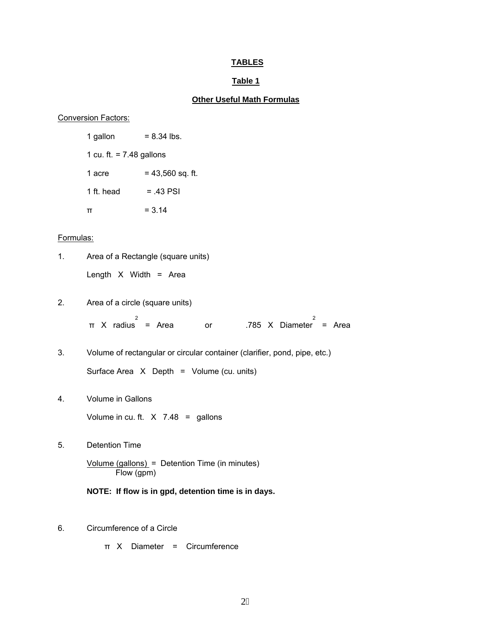### **TABLES**

#### **Table 1**

## **Other Useful Math Formulas**

## Conversion Factors:

 $1$  gallon = 8.34 lbs. 1 cu. ft.  $= 7.48$  gallons 1 acre  $= 43,560$  sq. ft. 1 ft. head  $= .43$  PSI  $\pi$  = 3.14

#### Formulas:

| 1. | Area of a Rectangle (square units)                                        |
|----|---------------------------------------------------------------------------|
|    | Length $X$ Width = Area                                                   |
| 2. | Area of a circle (square units)                                           |
|    | 2<br>$\pi$ X radius = Area<br>or .785 X Diameter<br>$=$ Area              |
| 3. | Volume of rectangular or circular container (clarifier, pond, pipe, etc.) |
|    | Surface Area X Depth = Volume (cu. units)                                 |
| 4. | <b>Volume in Gallons</b>                                                  |
|    | Volume in cu. ft. $X$ 7.48 = gallons                                      |
| 5. | <b>Detention Time</b>                                                     |
|    | $Volume (gallons) = Detention Time (in minutes)$<br>Flow (gpm)            |
|    | NOTE: If flow is in gpd, detention time is in days.                       |
| 6. | Circumference of a Circle                                                 |

π X Diameter = Circumference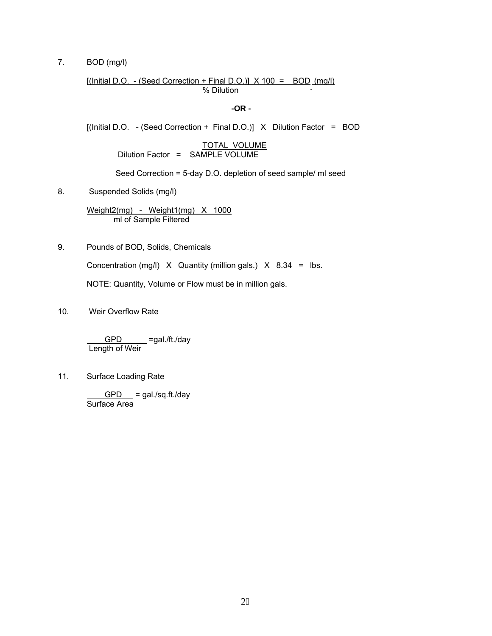7. BOD (mg/l)

 $[(Initial D.O. - (Seed Correction + Final D.O.)] X 100 = BOD (mg/l)]$ % Dilution

**-OR -** 

[(Initial D.O. - (Seed Correction + Final D.O.)] X Dilution Factor = BOD

TOTAL VOLUME Dilution Factor = SAMPLE VOLUME

Seed Correction = 5-day D.O. depletion of seed sample/ ml seed

8. Suspended Solids (mg/l)

Weight2(mg) - Weight1(mg) X 1000 ml of Sample Filtered

9. Pounds of BOD, Solids, Chemicals

Concentration (mg/l)  $X$  Quantity (million gals.)  $X$  8.34 = lbs.

NOTE: Quantity, Volume or Flow must be in million gals.

10. Weir Overflow Rate

GPD \_\_\_ =gal./ft./day Length of Weir

11. Surface Loading Rate

 $GPD$  = gal./sq.ft./day Surface Area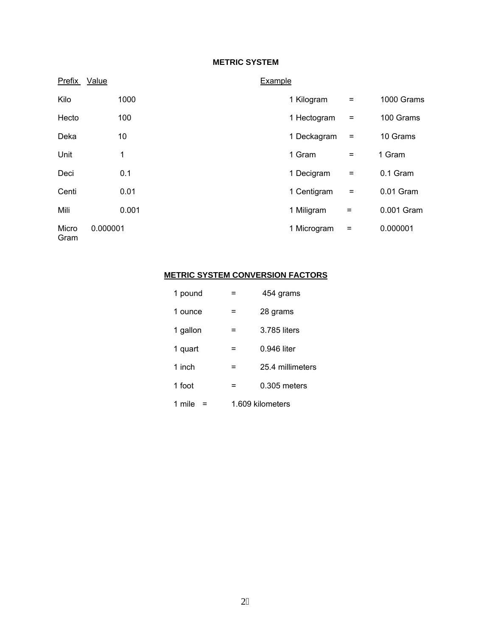### **METRIC SYSTEM**

| Prefix        | Value    | Example                         |            |
|---------------|----------|---------------------------------|------------|
| Kilo          | 1000     | 1 Kilogram<br>$\qquad \qquad =$ | 1000 Grams |
| Hecto         | 100      | 1 Hectogram<br>$=$              | 100 Grams  |
| Deka          | 10       | 1 Deckagram<br>$\equiv$         | 10 Grams   |
| Unit          | 1        | 1 Gram<br>$\equiv$              | 1 Gram     |
| Deci          | 0.1      | 1 Decigram<br>$\equiv$          | 0.1 Gram   |
| Centi         | 0.01     | 1 Centigram<br>$\equiv$         | 0.01 Gram  |
| Mili          | 0.001    | 1 Miligram<br>$=$               | 0.001 Gram |
| Micro<br>Gram | 0.000001 | 1 Microgram<br>$\equiv$         | 0.000001   |

## **METRIC SYSTEM CONVERSION FACTORS**

| 1 pound  |                  | 454 grams        |  |
|----------|------------------|------------------|--|
| 1 ounce  | =                | 28 grams         |  |
| 1 gallon | =                | 3.785 liters     |  |
| 1 quart  | =                | 0.946 liter      |  |
| 1 inch   | =                | 25.4 millimeters |  |
| 1 foot   | =                | $0.305$ meters   |  |
| 1 mile   | 1.609 kilometers |                  |  |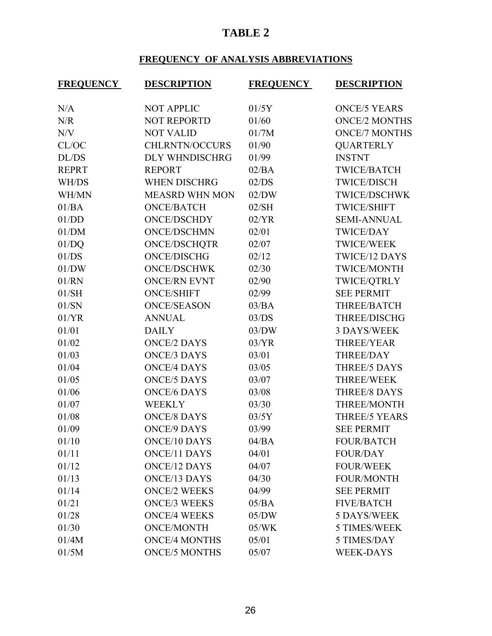## **TABLE 2**

## **FREQUENCY OF ANALYSIS ABBREVIATIONS**

| <b>FREQUENCY</b> | <b>DESCRIPTION</b>    | <b>FREQUENCY</b> | <b>DESCRIPTION</b>   |
|------------------|-----------------------|------------------|----------------------|
| N/A              | <b>NOT APPLIC</b>     | 01/5Y            | <b>ONCE/5 YEARS</b>  |
| N/R              | <b>NOT REPORTD</b>    | 01/60            | <b>ONCE/2 MONTHS</b> |
| N/V              | <b>NOT VALID</b>      | 01/7M            | <b>ONCE/7 MONTHS</b> |
| CL/OC            | <b>CHLRNTN/OCCURS</b> | 01/90            | <b>QUARTERLY</b>     |
| DL/DS            | DLY WHNDISCHRG        | 01/99            | <b>INSTNT</b>        |
| <b>REPRT</b>     | <b>REPORT</b>         | 02/BA            | <b>TWICE/BATCH</b>   |
| WH/DS            | <b>WHEN DISCHRG</b>   | 02/DS            | <b>TWICE/DISCH</b>   |
| WH/MN            | <b>MEASRD WHN MON</b> | 02/DW            | <b>TWICE/DSCHWK</b>  |
| 01/BA            | <b>ONCE/BATCH</b>     | 02/SH            | <b>TWICE/SHIFT</b>   |
| 01/DD            | <b>ONCE/DSCHDY</b>    | 02/YR            | <b>SEMI-ANNUAL</b>   |
| 01/DM            | <b>ONCE/DSCHMN</b>    | 02/01            | <b>TWICE/DAY</b>     |
| 01/DQ            | <b>ONCE/DSCHQTR</b>   | 02/07            | <b>TWICE/WEEK</b>    |
| 01/DS            | <b>ONCE/DISCHG</b>    | 02/12            | <b>TWICE/12 DAYS</b> |
| 01/DW            | <b>ONCE/DSCHWK</b>    | 02/30            | TWICE/MONTH          |
| 01/RN            | <b>ONCE/RN EVNT</b>   | 02/90            | TWICE/QTRLY          |
| 01/SH            | <b>ONCE/SHIFT</b>     | 02/99            | <b>SEE PERMIT</b>    |
| 01/SN            | <b>ONCE/SEASON</b>    | 03/BA            | THREE/BATCH          |
| 01/YR            | <b>ANNUAL</b>         | 03/DS            | THREE/DISCHG         |
| 01/01            | <b>DAILY</b>          | 03/DW            | <b>3 DAYS/WEEK</b>   |
| 01/02            | <b>ONCE/2 DAYS</b>    | 03/YR            | <b>THREE/YEAR</b>    |
| 01/03            | <b>ONCE/3 DAYS</b>    | 03/01            | <b>THREE/DAY</b>     |
| 01/04            | <b>ONCE/4 DAYS</b>    | 03/05            | <b>THREE/5 DAYS</b>  |
| 01/05            | <b>ONCE/5 DAYS</b>    | 03/07            | <b>THREE/WEEK</b>    |
| 01/06            | <b>ONCE/6 DAYS</b>    | 03/08            | <b>THREE/8 DAYS</b>  |
| 01/07            | <b>WEEKLY</b>         | 03/30            | THREE/MONTH          |
| 01/08            | <b>ONCE/8 DAYS</b>    | 03/5Y            | <b>THREE/5 YEARS</b> |
| 01/09            | <b>ONCE/9 DAYS</b>    | 03/99            | <b>SEE PERMIT</b>    |
| 01/10            | <b>ONCE/10 DAYS</b>   | 04/BA            | <b>FOUR/BATCH</b>    |
| 01/11            | <b>ONCE/11 DAYS</b>   | 04/01            | <b>FOUR/DAY</b>      |
| 01/12            | <b>ONCE/12 DAYS</b>   | 04/07            | <b>FOUR/WEEK</b>     |
| 01/13            | <b>ONCE/13 DAYS</b>   | 04/30            | <b>FOUR/MONTH</b>    |
| 01/14            | <b>ONCE/2 WEEKS</b>   | 04/99            | <b>SEE PERMIT</b>    |
| 01/21            | <b>ONCE/3 WEEKS</b>   | 05/BA            | <b>FIVE/BATCH</b>    |
| 01/28            | <b>ONCE/4 WEEKS</b>   | 05/DW            | 5 DAYS/WEEK          |
| 01/30            | <b>ONCE/MONTH</b>     | 05/WK            | <b>5 TIMES/WEEK</b>  |
| 01/4M            | <b>ONCE/4 MONTHS</b>  | 05/01            | 5 TIMES/DAY          |
| 01/5M            | <b>ONCE/5 MONTHS</b>  | 05/07            | <b>WEEK-DAYS</b>     |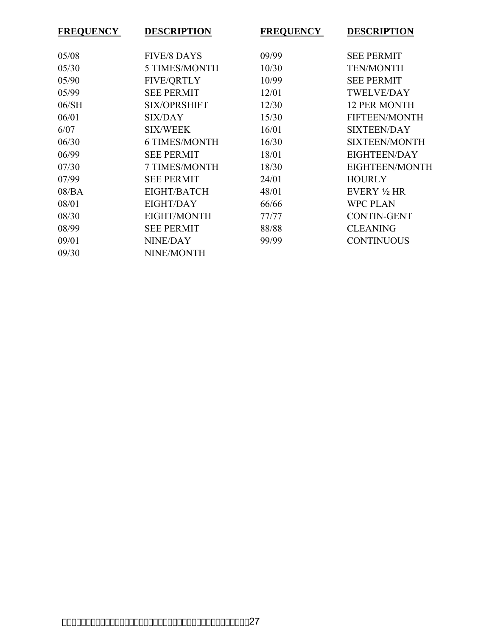| <b>FREQUENCY</b> | <b>DESCRIPTION</b>   | <b>FREQUENCY</b> | <b>DESCRIPTION</b>   |
|------------------|----------------------|------------------|----------------------|
| 05/08            | <b>FIVE/8 DAYS</b>   | 09/99            | <b>SEE PERMIT</b>    |
| 05/30            | 5 TIMES/MONTH        | 10/30            | <b>TEN/MONTH</b>     |
| 05/90            | <b>FIVE/QRTLY</b>    | 10/99            | <b>SEE PERMIT</b>    |
| 05/99            | <b>SEE PERMIT</b>    | 12/01            | <b>TWELVE/DAY</b>    |
| 06/SH            | <b>SIX/OPRSHIFT</b>  | 12/30            | <b>12 PER MONTH</b>  |
| 06/01            | <b>SIX/DAY</b>       | 15/30            | FIFTEEN/MONTH        |
| 6/07             | <b>SIX/WEEK</b>      | 16/01            | <b>SIXTEEN/DAY</b>   |
| 06/30            | <b>6 TIMES/MONTH</b> | 16/30            | <b>SIXTEEN/MONTH</b> |
| 06/99            | <b>SEE PERMIT</b>    | 18/01            | EIGHTEEN/DAY         |
| 07/30            | 7 TIMES/MONTH        | 18/30            | EIGHTEEN/MONTH       |
| 07/99            | <b>SEE PERMIT</b>    | 24/01            | <b>HOURLY</b>        |
| 08/BA            | EIGHT/BATCH          | 48/01            | EVERY 1/2 HR         |
| 08/01            | <b>EIGHT/DAY</b>     | 66/66            | <b>WPC PLAN</b>      |
| 08/30            | EIGHT/MONTH          | 77/77            | <b>CONTIN-GENT</b>   |
| 08/99            | <b>SEE PERMIT</b>    | 88/88            | <b>CLEANING</b>      |
| 09/01            | NINE/DAY             | 99/99            | <b>CONTINUOUS</b>    |
| 09/30            | NINE/MONTH           |                  |                      |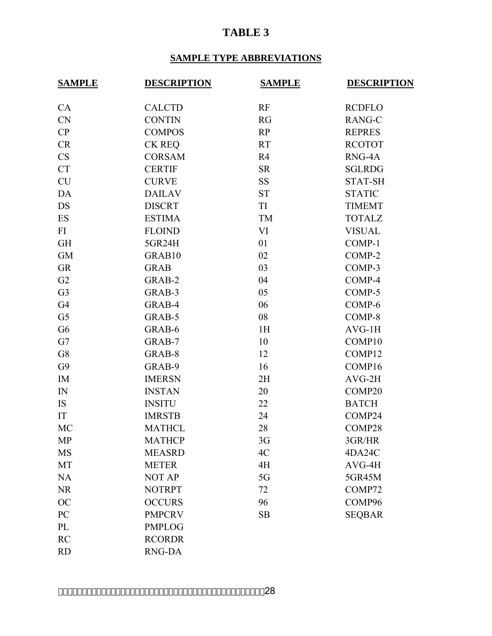## **TABLE 3**

## **SAMPLE TYPE ABBREVIATIONS**

| <b>SAMPLE</b>  | <b>DESCRIPTION</b> | <b>SAMPLE</b> | <b>DESCRIPTION</b> |  |  |
|----------------|--------------------|---------------|--------------------|--|--|
| CA             | <b>CALCTD</b>      | RF            | <b>RCDFLO</b>      |  |  |
| <b>CN</b>      | <b>CONTIN</b>      | <b>RG</b>     | RANG-C             |  |  |
| CP             | <b>COMPOS</b>      | RP            | <b>REPRES</b>      |  |  |
| CR             | <b>CK REQ</b>      | <b>RT</b>     | <b>RCOTOT</b>      |  |  |
| <b>CS</b>      | <b>CORSAM</b>      | R4            | RNG-4A             |  |  |
| <b>CT</b>      | <b>CERTIF</b>      | <b>SR</b>     | <b>SGLRDG</b>      |  |  |
| <b>CU</b>      | <b>CURVE</b>       | <b>SS</b>     | <b>STAT-SH</b>     |  |  |
| DA             | <b>DAILAV</b>      | <b>ST</b>     | <b>STATIC</b>      |  |  |
| <b>DS</b>      | <b>DISCRT</b>      | TI            | <b>TIMEMT</b>      |  |  |
| ES             | <b>ESTIMA</b>      | TM            | <b>TOTALZ</b>      |  |  |
| FI             | <b>FLOIND</b>      | VI            | <b>VISUAL</b>      |  |  |
| <b>GH</b>      | 5GR24H             | 01            | COMP-1             |  |  |
| <b>GM</b>      | GRAB10             | 02            | COMP-2             |  |  |
| <b>GR</b>      | <b>GRAB</b>        | 03            | COMP-3             |  |  |
| G2             | GRAB-2             | 04            | COMP-4             |  |  |
| G <sub>3</sub> | GRAB-3             | 05            | COMP-5             |  |  |
| G <sub>4</sub> | GRAB-4             | 06            | COMP-6             |  |  |
| G <sub>5</sub> | GRAB-5             | 08            | COMP-8             |  |  |
| G <sub>6</sub> | GRAB-6             | 1H            | $AVG-1H$           |  |  |
| G7             | GRAB-7             | 10            | COMP10             |  |  |
| G8             | GRAB-8             | 12            | COMP12             |  |  |
| G9             | GRAB-9             | 16            | COMP16             |  |  |
| IM             | <b>IMERSN</b>      | 2H            | $AVG-2H$           |  |  |
| IN             | <b>INSTAN</b>      | 20            | COMP20             |  |  |
| <b>IS</b>      | <b>INSITU</b>      | 22            | <b>BATCH</b>       |  |  |
| IT             | <b>IMRSTB</b>      | 24            | COMP24             |  |  |
| MC             | <b>MATHCL</b>      | 28            | COMP28             |  |  |
| <b>MP</b>      | <b>MATHCP</b>      | 3G            | 3GR/HR             |  |  |
| <b>MS</b>      | <b>MEASRD</b>      | 4C            | 4DA24C             |  |  |
| MT             | <b>METER</b>       | 4H            | $AVG-4H$           |  |  |
| <b>NA</b>      | <b>NOT AP</b>      | 5G            | 5GR45M             |  |  |
| <b>NR</b>      | <b>NOTRPT</b>      | 72            | COMP72             |  |  |
| <b>OC</b>      | <b>OCCURS</b>      | 96            | COMP96             |  |  |
| PC             | <b>PMPCRV</b>      | <b>SB</b>     | <b>SEQBAR</b>      |  |  |
| PL             | <b>PMPLOG</b>      |               |                    |  |  |
| <b>RC</b>      | <b>RCORDR</b>      |               |                    |  |  |
| <b>RD</b>      | RNG-DA             |               |                    |  |  |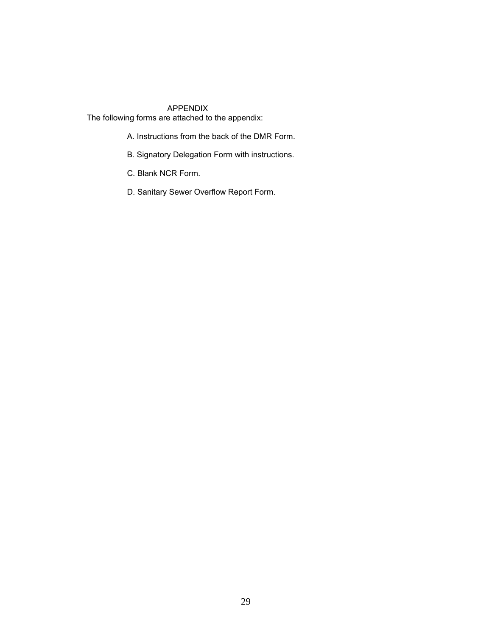APPENDIX

The following forms are attached to the appendix:

- A. Instructions from the back of the DMR Form.
- B. Signatory Delegation Form with instructions.
- C. Blank NCR Form.
- D. Sanitary Sewer Overflow Report Form.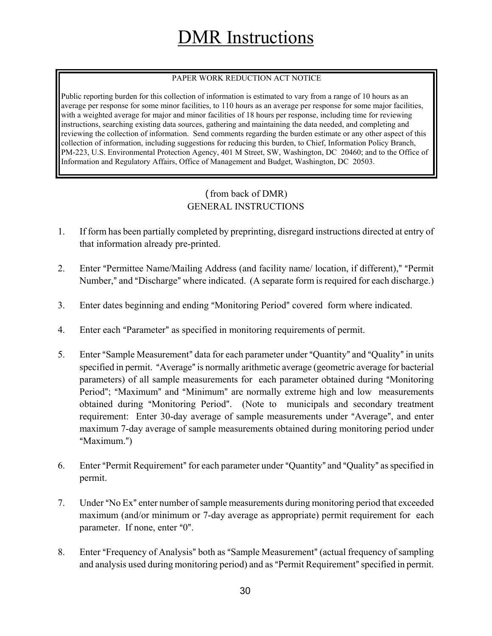# DMR Instructions

### PAPER WORK REDUCTION ACT NOTICE

Public reporting burden for this collection of information is estimated to vary from a range of 10 hours as an average per response for some minor facilities, to 110 hours as an average per response for some major facilities, with a weighted average for major and minor facilities of 18 hours per response, including time for reviewing instructions, searching existing data sources, gathering and maintaining the data needed, and completing and reviewing the collection of information. Send comments regarding the burden estimate or any other aspect of this collection of information, including suggestions for reducing this burden, to Chief, Information Policy Branch, PM-223, U.S. Environmental Protection Agency, 401 M Street, SW, Washington, DC 20460; and to the Office of Information and Regulatory Affairs, Office of Management and Budget, Washington, DC 20503.

## (from back of DMR) GENERAL INSTRUCTIONS

- 1. If form has been partially completed by preprinting, disregard instructions directed at entry of that information already pre-printed.
- 2. Enter "Permittee Name/Mailing Address (and facility name/ location, if different)," "Permit Number," and "Discharge" where indicated. (A separate form is required for each discharge.)
- 3. Enter dates beginning and ending "Monitoring Period" covered form where indicated.
- 4. Enter each "Parameter" as specified in monitoring requirements of permit.
- 5. Enter "Sample Measurement" data for each parameter under "Quantity" and "Quality" in units specified in permit. "Average" is normally arithmetic average (geometric average for bacterial parameters) of all sample measurements for each parameter obtained during "Monitoring Period"; "Maximum" and "Minimum" are normally extreme high and low measurements obtained during "Monitoring Period". (Note to municipals and secondary treatment requirement: Enter 30-day average of sample measurements under "Average", and enter maximum 7-day average of sample measurements obtained during monitoring period under "Maximum.")
- 6. Enter "Permit Requirement" for each parameter under "Quantity" and "Quality" as specified in permit.
- 7. Under "No Ex" enter number of sample measurements during monitoring period that exceeded maximum (and/or minimum or 7-day average as appropriate) permit requirement for each parameter. If none, enter  $"0"$ .
- 8. Enter "Frequency of Analysis" both as "Sample Measurement" (actual frequency of sampling and analysis used during monitoring period) and as "Permit Requirement" specified in permit.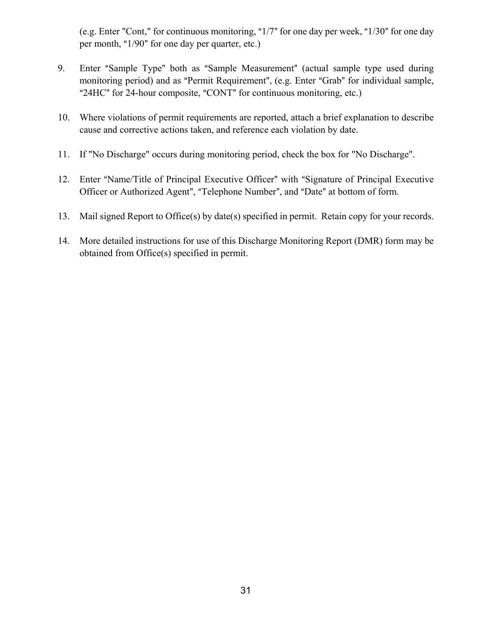(e.g. Enter "Cont," for continuous monitoring, " $1/7$ " for one day per week, " $1/30$ " for one day per month, " $1/90$ " for one day per quarter, etc.)

- 9. Enter "Sample Type" both as "Sample Measurement" (actual sample type used during monitoring period) and as "Permit Requirement", (e.g. Enter "Grab" for individual sample, "24HC" for 24-hour composite, "CONT" for continuous monitoring, etc.)
- 10. Where violations of permit requirements are reported, attach a brief explanation to describe cause and corrective actions taken, and reference each violation by date.
- 11. If "No Discharge" occurs during monitoring period, check the box for "No Discharge".
- 12. Enter "Name/Title of Principal Executive Officer" with "Signature of Principal Executive Officer or Authorized Agent", "Telephone Number", and "Date" at bottom of form.
- 13. Mail signed Report to Office(s) by date(s) specified in permit. Retain copy for your records.
- 14. More detailed instructions for use of this Discharge Monitoring Report (DMR) form may be obtained from Office(s) specified in permit.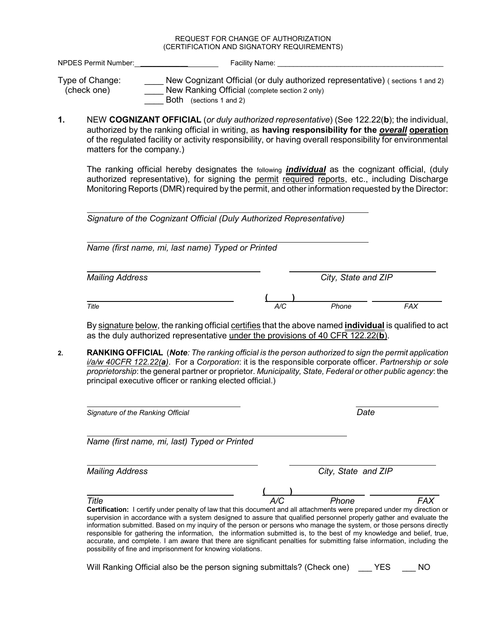#### REQUEST FOR CHANGE OF AUTHORIZATION (CERTIFICATION AND SIGNATORY REQUIREMENTS)

NPDES Permit Number: **Name: Facility Name:**  $\blacksquare$ 

Type of Change: New Cognizant Official (or duly authorized representative) (sections 1 and 2) (check one) \_\_\_\_ New Ranking Official (complete section 2 only) Both (sections 1 and 2)

**1.** NEW **COGNIZANT OFFICIAL** (*or duly authorized representative*) (See 122.22(**b**); the individual, authorized by the ranking official in writing, as **having responsibility for the** *overall* **operation** of the regulated facility or activity responsibility, or having overall responsibility for environmental matters for the company.)

The ranking official hereby designates the following *individual* as the cognizant official, (duly authorized representative), for signing the permit required reports, etc., including Discharge Monitoring Reports (DMR) required by the permit, and other information requested by the Director:

*Signature of the Cognizant Official (Duly Authorized Representative)*

 *Name (first name, mi, last name) Typed or Printed*

**( )**

*Mailing Address City, State and ZIP*

*Title A/C Phone FAX*

 $\overline{a}$ 

By signature below, the ranking official certifies that the above named **individual** is qualified to act as the duly authorized representative under the provisions of 40 CFR 122.22(**b**).

**2. RANKING OFFICIAL** (*Note: The ranking official is the person authorized to sign the permit application i/a/w 40CFR 122.22(a)*. For a *Corporation*: it is the responsible corporate officer. *Partnership or sole proprietorship*: the general partner or proprietor. *Municipality, State, Federal or other public agency*: the principal executive officer or ranking elected official.)

 $\overline{a}$ *Signature of the Ranking Official Date* l *Name (first name, mi, last) Typed or Printed* l *Mailing Address City, State and ZIP* **( )** *Title A/C Phone FAX* **Certification:** I certify under penalty of law that this document and all attachments were prepared under my direction or supervision in accordance with a system designed to assure that qualified personnel properly gather and evaluate the information submitted. Based on my inquiry of the person or persons who manage the system, or those persons directly responsible for gathering the information, the information submitted is, to the best of my knowledge and belief, true, accurate, and complete. I am aware that there are significant penalties for submitting false information, including the possibility of fine and imprisonment for knowing violations.

Will Ranking Official also be the person signing submittals? (Check one) YES NO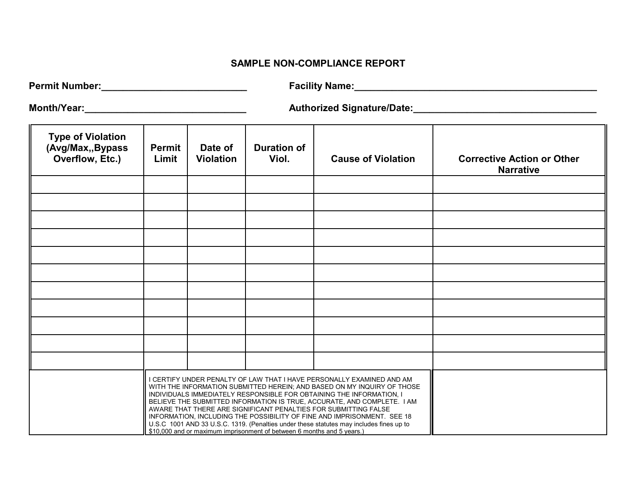#### **SAMPLE NON-COMPLIANCE REPORT**

| <b>Permit Number:</b> | Facility Name: |
|-----------------------|----------------|
|-----------------------|----------------|

**Month/Year:\_\_\_\_\_\_\_\_\_\_\_\_\_\_\_\_\_\_\_\_\_\_\_\_\_\_\_\_\_\_ Authorized Signature/Date:\_\_\_\_\_\_\_\_\_\_\_\_\_\_\_\_\_\_\_\_\_\_\_\_\_\_\_\_\_\_\_\_\_\_**

| <b>Type of Violation</b><br>(Avg/Max,, Bypass<br>Overflow, Etc.) | <b>Permit</b><br>Limit | Date of<br><b>Violation</b> | <b>Duration of</b><br>Viol.                                                                                                                                                                                                                                                                                                                                                                                                                                                                                                                                                                                            | <b>Cause of Violation</b> | <b>Corrective Action or Other</b><br><b>Narrative</b> |
|------------------------------------------------------------------|------------------------|-----------------------------|------------------------------------------------------------------------------------------------------------------------------------------------------------------------------------------------------------------------------------------------------------------------------------------------------------------------------------------------------------------------------------------------------------------------------------------------------------------------------------------------------------------------------------------------------------------------------------------------------------------------|---------------------------|-------------------------------------------------------|
|                                                                  |                        |                             |                                                                                                                                                                                                                                                                                                                                                                                                                                                                                                                                                                                                                        |                           |                                                       |
|                                                                  |                        |                             |                                                                                                                                                                                                                                                                                                                                                                                                                                                                                                                                                                                                                        |                           |                                                       |
|                                                                  |                        |                             |                                                                                                                                                                                                                                                                                                                                                                                                                                                                                                                                                                                                                        |                           |                                                       |
|                                                                  |                        |                             |                                                                                                                                                                                                                                                                                                                                                                                                                                                                                                                                                                                                                        |                           |                                                       |
|                                                                  |                        |                             |                                                                                                                                                                                                                                                                                                                                                                                                                                                                                                                                                                                                                        |                           |                                                       |
|                                                                  |                        |                             |                                                                                                                                                                                                                                                                                                                                                                                                                                                                                                                                                                                                                        |                           |                                                       |
|                                                                  |                        |                             |                                                                                                                                                                                                                                                                                                                                                                                                                                                                                                                                                                                                                        |                           |                                                       |
|                                                                  |                        |                             |                                                                                                                                                                                                                                                                                                                                                                                                                                                                                                                                                                                                                        |                           |                                                       |
|                                                                  |                        |                             |                                                                                                                                                                                                                                                                                                                                                                                                                                                                                                                                                                                                                        |                           |                                                       |
|                                                                  |                        |                             |                                                                                                                                                                                                                                                                                                                                                                                                                                                                                                                                                                                                                        |                           |                                                       |
|                                                                  |                        |                             |                                                                                                                                                                                                                                                                                                                                                                                                                                                                                                                                                                                                                        |                           |                                                       |
|                                                                  |                        |                             | I CERTIFY UNDER PENALTY OF LAW THAT I HAVE PERSONALLY EXAMINED AND AM<br>WITH THE INFORMATION SUBMITTED HEREIN; AND BASED ON MY INQUIRY OF THOSE<br>INDIVIDUALS IMMEDIATELY RESPONSIBLE FOR OBTAINING THE INFORMATION, I<br>BELIEVE THE SUBMITTED INFORMATION IS TRUE, ACCURATE, AND COMPLETE. I AM<br>AWARE THAT THERE ARE SIGNIFICANT PENALTIES FOR SUBMITTING FALSE<br>INFORMATION, INCLUDING THE POSSIBILITY OF FINE AND IMPRISONMENT. SEE 18<br>U.S.C 1001 AND 33 U.S.C. 1319. (Penalties under these statutes may includes fines up to<br>\$10,000 and or maximum imprisonment of between 6 months and 5 years.) |                           |                                                       |